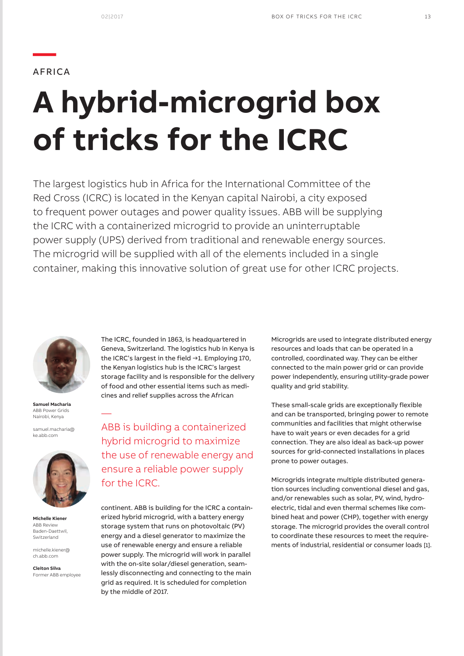## AFRICA

**—**

# **A hybrid-microgrid box of tricks for the ICRC**

The largest logistics hub in Africa for the International Committee of the Red Cross (ICRC) is located in the Kenyan capital Nairobi, a city exposed to frequent power outages and power quality issues. ABB will be supplying the ICRC with a containerized microgrid to provide an uninterruptable power supply (UPS) derived from traditional and renewable energy sources. The microgrid will be supplied with all of the elements included in a single container, making this innovative solution of great use for other ICRC projects.



**Samuel Macharia** ABB Power Grids Nairobi, Kenya

—

samuel.macharia@ ke.abb.com



**Michelle Kiener** ABB Review Baden-Daettwil, Switzerland

michelle.kiener@ ch.abb.com

**Cleiton Silva** Former ABB employee The ICRC, founded in 1863, is headquartered in Geneva, Switzerland. The logistics hub in Kenya is the ICRC's largest in the field →1. Employing 170, the Kenyan logistics hub is the ICRC's largest storage facility and is responsible for the delivery of food and other essential items such as medicines and relief supplies across the African

ABB is building a containerized hybrid microgrid to maximize the use of renewable energy and ensure a reliable power supply for the ICRC.

continent. ABB is building for the ICRC a containerized hybrid microgrid, with a battery energy storage system that runs on photovoltaic (PV) energy and a diesel generator to maximize the use of renewable energy and ensure a reliable power supply. The microgrid will work in parallel with the on-site solar/diesel generation, seamlessly disconnecting and connecting to the main grid as required. It is scheduled for completion by the middle of 2017.

Microgrids are used to integrate distributed energy resources and loads that can be operated in a controlled, coordinated way. They can be either connected to the main power grid or can provide power independently, ensuring utility-grade power quality and grid stability.

These small-scale grids are exceptionally flexible and can be transported, bringing power to remote communities and facilities that might otherwise have to wait years or even decades for a grid connection. They are also ideal as back-up power sources for grid-connected installations in places prone to power outages.

Microgrids integrate multiple distributed generation sources including conventional diesel and gas, and/or renewables such as solar, PV, wind, hydroelectric, tidal and even thermal schemes like combined heat and power (CHP), together with energy storage. The microgrid provides the overall control to coordinate these resources to meet the requirements of industrial, residential or consumer loads [1].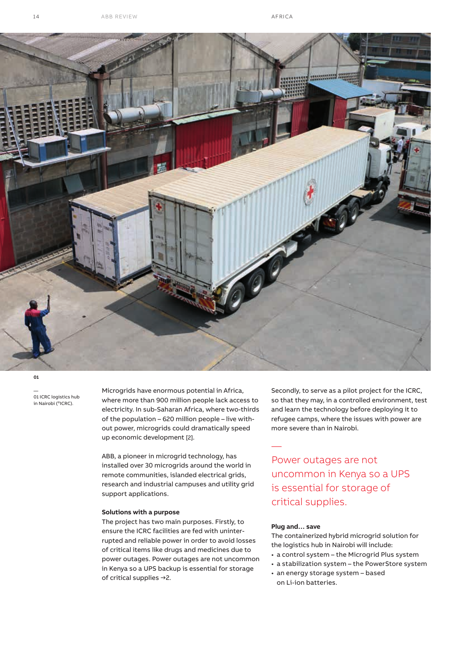

**01**

—<br>01 ICRC logistics hub<br>in Nairobi (©ICRC).

Microgrids have enormous potential in Africa, where more than 900 million people lack access to electricity. In sub-Saharan Africa, where two-thirds of the population – 620 million people – live without power, microgrids could dramatically speed up economic development [2].

ABB, a pioneer in microgrid technology, has installed over 30 microgrids around the world in remote communities, islanded electrical grids, research and industrial campuses and utility grid support applications.

#### **Solutions with a purpose**

The project has two main purposes. Firstly, to ensure the ICRC facilities are fed with uninterrupted and reliable power in order to avoid losses of critical items like drugs and medicines due to power outages. Power outages are not uncommon in Kenya so a UPS backup is essential for storage of critical supplies →2.

Secondly, to serve as a pilot project for the ICRC, so that they may, in a controlled environment, test and learn the technology before deploying it to refugee camps, where the issues with power are more severe than in Nairobi.

Power outages are not uncommon in Kenya so a UPS is essential for storage of critical supplies.

### **Plug and… save**

—

The containerized hybrid microgrid solution for the logistics hub in Nairobi will include:

- a control system the Microgrid Plus system
- a stabilization system the PowerStore system
- an energy storage system based on Li-ion batteries.